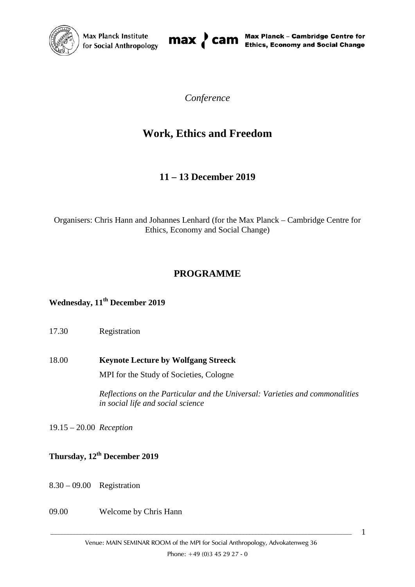



*Conference*

# **Work, Ethics and Freedom**

## **11 – 13 December 2019**

Organisers: Chris Hann and Johannes Lenhard (for the Max Planck – Cambridge Centre for Ethics, Economy and Social Change)

## **PROGRAMME**

### **Wednesday, 11th December 2019**

### 17.30 Registration

18.00 **Keynote Lecture by Wolfgang Streeck** MPI for the Study of Societies, Cologne

> *Reflections on the Particular and the Universal: Varieties and commonalities in social life and social science*

19.15 – 20.00 *Reception*

## **Thursday, 12th December 2019**

- 8.30 09.00 Registration
- 09.00 Welcome by Chris Hann

 $\_$  ,  $\_$  ,  $\_$  ,  $\_$  ,  $\_$  ,  $\_$  ,  $\_$  ,  $\_$  ,  $\_$  ,  $\_$  ,  $\_$  ,  $\_$  ,  $\_$  ,  $\_$  ,  $\_$  ,  $\_$  ,  $\_$  ,  $\_$  ,  $\_$  ,  $\_$  ,  $\_$  ,  $\_$  ,  $\_$  ,  $\_$  ,  $\_$  ,  $\_$  ,  $\_$  ,  $\_$  ,  $\_$  ,  $\_$  ,  $\_$  ,  $\_$  ,  $\_$  ,  $\_$  ,  $\_$  ,  $\_$  ,  $\_$  ,

1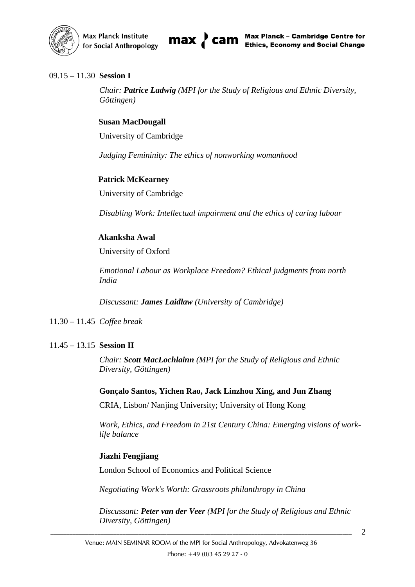

#### 09.15 – 11.30 **Session I**

*Chair: Patrice Ladwig (MPI for the Study of Religious and Ethnic Diversity, Göttingen)*

#### **Susan MacDougall**

University of Cambridge

*Judging Femininity: The ethics of nonworking womanhood*

#### **Patrick McKearney**

University of Cambridge

*Disabling Work: Intellectual impairment and the ethics of caring labour*

#### **Akanksha Awal**

University of Oxford

*Emotional Labour as Workplace Freedom? Ethical judgments from north India*

*Discussant: James Laidlaw (University of Cambridge)*

11.30 – 11.45 *Coffee break*

#### 11.45 – 13.15 **Session II**

*Chair: Scott MacLochlainn (MPI for the Study of Religious and Ethnic Diversity, Göttingen)*

**Gonçalo Santos, Yichen Rao, Jack Linzhou Xing, and Jun Zhang**

CRIA, Lisbon/ Nanjing University; University of Hong Kong

*Work, Ethics, and Freedom in 21st Century China: Emerging visions of worklife balance*

#### **Jiazhi Fengjiang**

London School of Economics and Political Science

*Negotiating Work's Worth: Grassroots philanthropy in China*

*Discussant: Peter van der Veer (MPI for the Study of Religious and Ethnic Diversity, Göttingen)*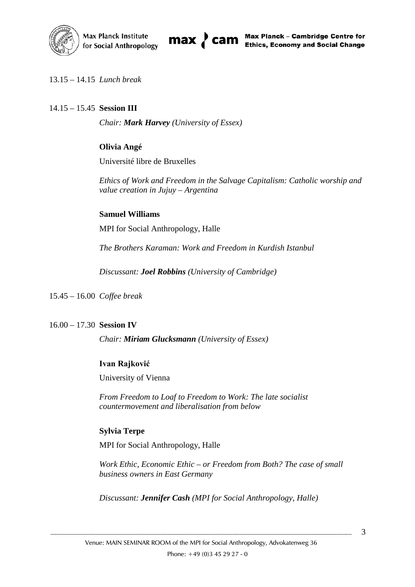



13.15 – 14.15 *Lunch break*

#### 14.15 – 15.45 **Session III**

*Chair: Mark Harvey (University of Essex)*

#### **Olivia Angé**

Université libre de Bruxelles

*Ethics of Work and Freedom in the Salvage Capitalism: Catholic worship and value creation in Jujuy – Argentina*

#### **Samuel Williams**

MPI for Social Anthropology, Halle

*The Brothers Karaman: Work and Freedom in Kurdish Istanbul*

*Discussant: Joel Robbins (University of Cambridge)*

15.45 – 16.00 *Coffee break*

#### 16.00 – 17.30 **Session IV**

*Chair: Miriam Glucksmann (University of Essex)*

#### **Ivan Rajković**

University of Vienna

*From Freedom to Loaf to Freedom to Work: The late socialist countermovement and liberalisation from below*

#### **Sylvia Terpe**

MPI for Social Anthropology, Halle

*Work Ethic, Economic Ethic – or Freedom from Both? The case of small business owners in East Germany*

*Discussant: Jennifer Cash (MPI for Social Anthropology, Halle)*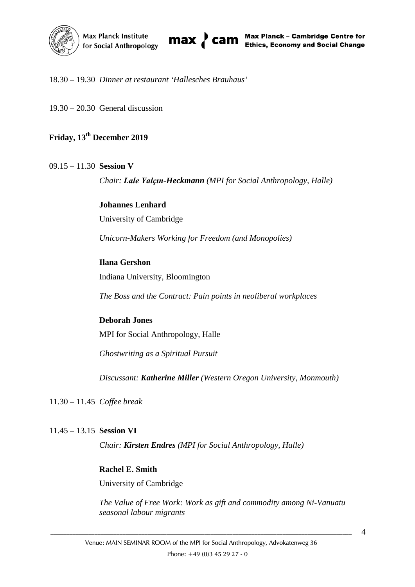

#### 18.30 – 19.30 *Dinner at restaurant 'Hallesches Brauhaus'*

19.30 – 20.30 General discussion

## **Friday, 13th December 2019**

#### 09.15 – 11.30 **Session V**

*Chair: Lale Yalçın-Heckmann (MPI for Social Anthropology, Halle)*

**Johannes Lenhard** University of Cambridge

*Unicorn-Makers Working for Freedom (and Monopolies)*

#### **Ilana Gershon**

Indiana University, Bloomington

*The Boss and the Contract: Pain points in neoliberal workplaces*

#### **Deborah Jones**

MPI for Social Anthropology, Halle

*Ghostwriting as a Spiritual Pursuit*

*Discussant: Katherine Miller (Western Oregon University, Monmouth)*

11.30 – 11.45 *Coffee break*

#### 11.45 – 13.15 **Session VI**

*Chair: Kirsten Endres (MPI for Social Anthropology, Halle)*

#### **Rachel E. Smith**

University of Cambridge

*The Value of Free Work: Work as gift and commodity among Ni-Vanuatu seasonal labour migrants*